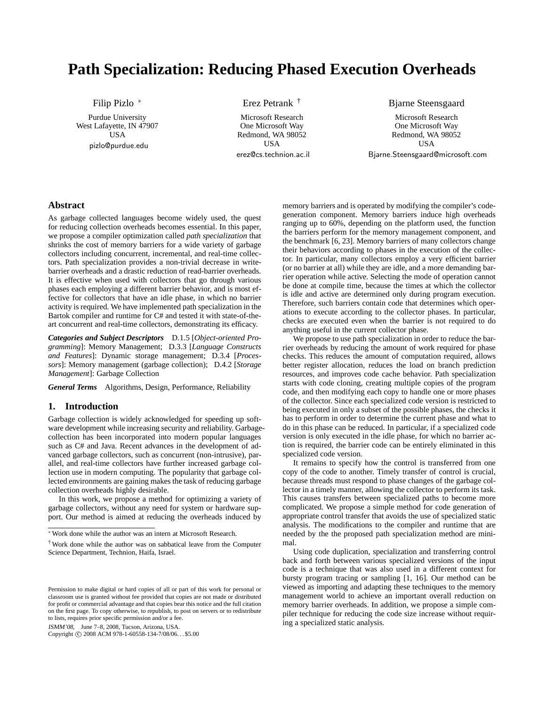# **Path Specialization: Reducing Phased Execution Overheads**

Filip Pizlo <sup>∗</sup>

Purdue University West Lafayette, IN 47907 **USA** pizlo@purdue.edu

Erez Petrank †

Microsoft Research One Microsoft Way Redmond, WA 98052 **USA** erez@cs.technion.ac.il Bjarne Steensgaard

Microsoft Research One Microsoft Way Redmond, WA 98052 USA Bjarne.Steensgaard@microsoft.com

# **Abstract**

As garbage collected languages become widely used, the quest for reducing collection overheads becomes essential. In this paper, we propose a compiler optimization called *path specialization* that shrinks the cost of memory barriers for a wide variety of garbage collectors including concurrent, incremental, and real-time collectors. Path specialization provides a non-trivial decrease in writebarrier overheads and a drastic reduction of read-barrier overheads. It is effective when used with collectors that go through various phases each employing a different barrier behavior, and is most effective for collectors that have an idle phase, in which no barrier activity is required. We have implemented path specialization in the Bartok compiler and runtime for C# and tested it with state-of-theart concurrent and real-time collectors, demonstrating its efficacy.

*Categories and Subject Descriptors* D.1.5 [*Object-oriented Programming*]: Memory Management; D.3.3 [*Language Constructs and Features*]: Dynamic storage management; D.3.4 [*Processors*]: Memory management (garbage collection); D.4.2 [*Storage Management*]: Garbage Collection

*General Terms* Algorithms, Design, Performance, Reliability

# **1. Introduction**

Garbage collection is widely acknowledged for speeding up software development while increasing security and reliability. Garbagecollection has been incorporated into modern popular languages such as C# and Java. Recent advances in the development of advanced garbage collectors, such as concurrent (non-intrusive), parallel, and real-time collectors have further increased garbage collection use in modern computing. The popularity that garbage collected environments are gaining makes the task of reducing garbage collection overheads highly desirable.

In this work, we propose a method for optimizing a variety of garbage collectors, without any need for system or hardware support. Our method is aimed at reducing the overheads induced by

ISMM'08, June 7–8, 2008, Tucson, Arizona, USA.

Copyright © 2008 ACM 978-1-60558-134-7/08/06... \$5.00

memory barriers and is operated by modifying the compiler's codegeneration component. Memory barriers induce high overheads ranging up to 60%, depending on the platform used, the function the barriers perform for the memory management component, and the benchmark [6, 23]. Memory barriers of many collectors change their behaviors according to phases in the execution of the collector. In particular, many collectors employ a very efficient barrier (or no barrier at all) while they are idle, and a more demanding barrier operation while active. Selecting the mode of operation cannot be done at compile time, because the times at which the collector is idle and active are determined only during program execution. Therefore, such barriers contain code that determines which operations to execute according to the collector phases. In particular, checks are executed even when the barrier is not required to do anything useful in the current collector phase.

We propose to use path specialization in order to reduce the barrier overheads by reducing the amount of work required for phase checks. This reduces the amount of computation required, allows better register allocation, reduces the load on branch prediction resources, and improves code cache behavior. Path specialization starts with code cloning, creating multiple copies of the program code, and then modifying each copy to handle one or more phases of the collector. Since each specialized code version is restricted to being executed in only a subset of the possible phases, the checks it has to perform in order to determine the current phase and what to do in this phase can be reduced. In particular, if a specialized code version is only executed in the idle phase, for which no barrier action is required, the barrier code can be entirely eliminated in this specialized code version.

It remains to specify how the control is transferred from one copy of the code to another. Timely transfer of control is crucial, because threads must respond to phase changes of the garbage collector in a timely manner, allowing the collector to perform its task. This causes transfers between specialized paths to become more complicated. We propose a simple method for code generation of appropriate control transfer that avoids the use of specialized static analysis. The modifications to the compiler and runtime that are needed by the the proposed path specialization method are minimal.

Using code duplication, specialization and transferring control back and forth between various specialized versions of the input code is a technique that was also used in a different context for bursty program tracing or sampling [1, 16]. Our method can be viewed as importing and adapting these techniques to the memory management world to achieve an important overall reduction on memory barrier overheads. In addition, we propose a simple compiler technique for reducing the code size increase without requiring a specialized static analysis.

<sup>∗</sup> Work done while the author was an intern at Microsoft Research.

<sup>†</sup> Work done while the author was on sabbatical leave from the Computer Science Department, Technion, Haifa, Israel.

Permission to make digital or hard copies of all or part of this work for personal or classroom use is granted without fee provided that copies are not made or distributed for profit or commercial advantage and that copies bear this notice and the full citation on the first page. To copy otherwise, to republish, to post on servers or to redistribute to lists, requires prior specific permission and/or a fee.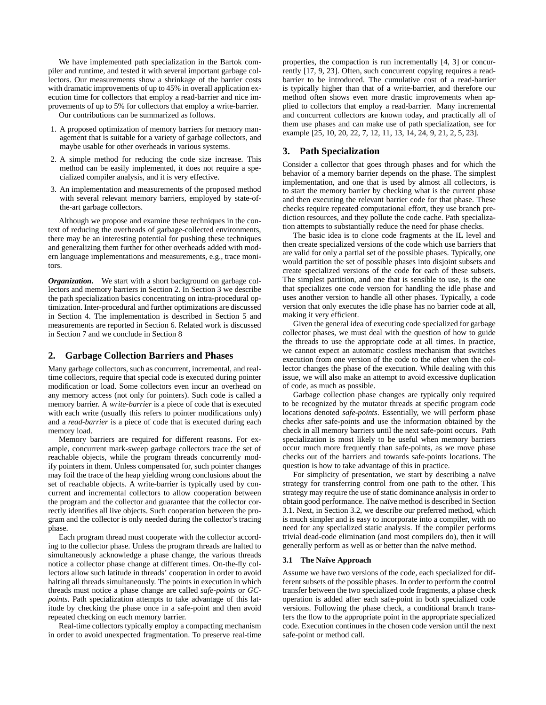We have implemented path specialization in the Bartok compiler and runtime, and tested it with several important garbage collectors. Our measurements show a shrinkage of the barrier costs with dramatic improvements of up to 45% in overall application execution time for collectors that employ a read-barrier and nice improvements of up to 5% for collectors that employ a write-barrier.

Our contributions can be summarized as follows.

- 1. A proposed optimization of memory barriers for memory management that is suitable for a variety of garbage collectors, and maybe usable for other overheads in various systems.
- 2. A simple method for reducing the code size increase. This method can be easily implemented, it does not require a specialized compiler analysis, and it is very effective.
- 3. An implementation and measurements of the proposed method with several relevant memory barriers, employed by state-ofthe-art garbage collectors.

Although we propose and examine these techniques in the context of reducing the overheads of garbage-collected environments, there may be an interesting potential for pushing these techniques and generalizing them further for other overheads added with modern language implementations and measurements, e.g., trace monitors.

*Organization.* We start with a short background on garbage collectors and memory barriers in Section 2. In Section 3 we describe the path specialization basics concentrating on intra-procedural optimization. Inter-procedural and further optimizations are discussed in Section 4. The implementation is described in Section 5 and measurements are reported in Section 6. Related work is discussed in Section 7 and we conclude in Section 8

### **2. Garbage Collection Barriers and Phases**

Many garbage collectors, such as concurrent, incremental, and realtime collectors, require that special code is executed during pointer modification or load. Some collectors even incur an overhead on any memory access (not only for pointers). Such code is called a memory barrier. A *write-barrier* is a piece of code that is executed with each write (usually this refers to pointer modifications only) and a *read-barrier* is a piece of code that is executed during each memory load.

Memory barriers are required for different reasons. For example, concurrent mark-sweep garbage collectors trace the set of reachable objects, while the program threads concurrently modify pointers in them. Unless compensated for, such pointer changes may foil the trace of the heap yielding wrong conclusions about the set of reachable objects. A write-barrier is typically used by concurrent and incremental collectors to allow cooperation between the program and the collector and guarantee that the collector correctly identifies all live objects. Such cooperation between the program and the collector is only needed during the collector's tracing phase.

Each program thread must cooperate with the collector according to the collector phase. Unless the program threads are halted to simultaneously acknowledge a phase change, the various threads notice a collector phase change at different times. On-the-fly collectors allow such latitude in threads' cooperation in order to avoid halting all threads simultaneously. The points in execution in which threads must notice a phase change are called *safe-points* or *GCpoints*. Path specialization attempts to take advantage of this latitude by checking the phase once in a safe-point and then avoid repeated checking on each memory barrier.

Real-time collectors typically employ a compacting mechanism in order to avoid unexpected fragmentation. To preserve real-time properties, the compaction is run incrementally [4, 3] or concurrently [17, 9, 23]. Often, such concurrent copying requires a readbarrier to be introduced. The cumulative cost of a read-barrier is typically higher than that of a write-barrier, and therefore our method often shows even more drastic improvements when applied to collectors that employ a read-barrier. Many incremental and concurrent collectors are known today, and practically all of them use phases and can make use of path specialization, see for example [25, 10, 20, 22, 7, 12, 11, 13, 14, 24, 9, 21, 2, 5, 23].

### **3. Path Specialization**

Consider a collector that goes through phases and for which the behavior of a memory barrier depends on the phase. The simplest implementation, and one that is used by almost all collectors, is to start the memory barrier by checking what is the current phase and then executing the relevant barrier code for that phase. These checks require repeated computational effort, they use branch prediction resources, and they pollute the code cache. Path specialization attempts to substantially reduce the need for phase checks.

The basic idea is to clone code fragments at the IL level and then create specialized versions of the code which use barriers that are valid for only a partial set of the possible phases. Typically, one would partition the set of possible phases into disjoint subsets and create specialized versions of the code for each of these subsets. The simplest partition, and one that is sensible to use, is the one that specializes one code version for handling the idle phase and uses another version to handle all other phases. Typically, a code version that only executes the idle phase has no barrier code at all, making it very efficient.

Given the general idea of executing code specialized for garbage collector phases, we must deal with the question of how to guide the threads to use the appropriate code at all times. In practice, we cannot expect an automatic costless mechanism that switches execution from one version of the code to the other when the collector changes the phase of the execution. While dealing with this issue, we will also make an attempt to avoid excessive duplication of code, as much as possible.

Garbage collection phase changes are typically only required to be recognized by the mutator threads at specific program code locations denoted *safe-points*. Essentially, we will perform phase checks after safe-points and use the information obtained by the check in all memory barriers until the next safe-point occurs. Path specialization is most likely to be useful when memory barriers occur much more frequently than safe-points, as we move phase checks out of the barriers and towards safe-points locations. The question is how to take advantage of this in practice.

For simplicity of presentation, we start by describing a naïve strategy for transferring control from one path to the other. This strategy may require the use of static dominance analysis in order to obtain good performance. The na¨ıve method is described in Section 3.1. Next, in Section 3.2, we describe our preferred method, which is much simpler and is easy to incorporate into a compiler, with no need for any specialized static analysis. If the compiler performs trivial dead-code elimination (and most compilers do), then it will generally perform as well as or better than the naïve method.

#### **3.1 The Na¨ıve Approach**

Assume we have two versions of the code, each specialized for different subsets of the possible phases. In order to perform the control transfer between the two specialized code fragments, a phase check operation is added after each safe-point in both specialized code versions. Following the phase check, a conditional branch transfers the flow to the appropriate point in the appropriate specialized code. Execution continues in the chosen code version until the next safe-point or method call.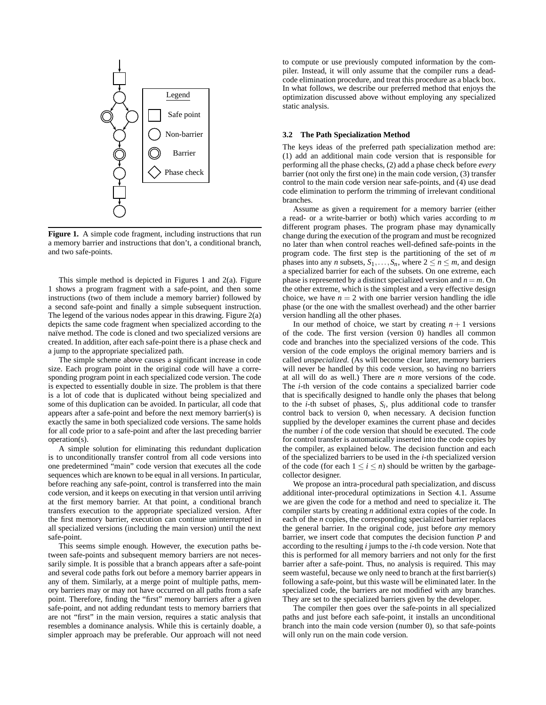

**Figure 1.** A simple code fragment, including instructions that run a memory barrier and instructions that don't, a conditional branch, and two safe-points.

This simple method is depicted in Figures 1 and  $2(a)$ . Figure 1 shows a program fragment with a safe-point, and then some instructions (two of them include a memory barrier) followed by a second safe-point and finally a simple subsequent instruction. The legend of the various nodes appear in this drawing. Figure 2(a) depicts the same code fragment when specialized according to the naïve method. The code is cloned and two specialized versions are created. In addition, after each safe-point there is a phase check and a jump to the appropriate specialized path.

The simple scheme above causes a significant increase in code size. Each program point in the original code will have a corresponding program point in each specialized code version. The code is expected to essentially double in size. The problem is that there is a lot of code that is duplicated without being specialized and some of this duplication can be avoided. In particular, all code that appears after a safe-point and before the next memory barrier(s) is exactly the same in both specialized code versions. The same holds for all code prior to a safe-point and after the last preceding barrier operation(s).

A simple solution for eliminating this redundant duplication is to unconditionally transfer control from all code versions into one predetermined "main" code version that executes all the code sequences which are known to be equal in all versions. In particular, before reaching any safe-point, control is transferred into the main code version, and it keeps on executing in that version until arriving at the first memory barrier. At that point, a conditional branch transfers execution to the appropriate specialized version. After the first memory barrier, execution can continue uninterrupted in all specialized versions (including the main version) until the next safe-point.

This seems simple enough. However, the execution paths between safe-points and subsequent memory barriers are not necessarily simple. It is possible that a branch appears after a safe-point and several code paths fork out before a memory barrier appears in any of them. Similarly, at a merge point of multiple paths, memory barriers may or may not have occurred on all paths from a safe point. Therefore, finding the "first" memory barriers after a given safe-point, and not adding redundant tests to memory barriers that are not "first" in the main version, requires a static analysis that resembles a dominance analysis. While this is certainly doable, a simpler approach may be preferable. Our approach will not need to compute or use previously computed information by the compiler. Instead, it will only assume that the compiler runs a deadcode elimination procedure, and treat this procedure as a black box. In what follows, we describe our preferred method that enjoys the optimization discussed above without employing any specialized static analysis.

### **3.2 The Path Specialization Method**

The keys ideas of the preferred path specialization method are: (1) add an additional main code version that is responsible for performing all the phase checks, (2) add a phase check before *every* barrier (not only the first one) in the main code version, (3) transfer control to the main code version near safe-points, and (4) use dead code elimination to perform the trimming of irrelevant conditional branches.

Assume as given a requirement for a memory barrier (either a read- or a write-barrier or both) which varies according to *m* different program phases. The program phase may dynamically change during the execution of the program and must be recognized no later than when control reaches well-defined safe-points in the program code. The first step is the partitioning of the set of *m* phases into any *n* subsets,  $S_1, \ldots, S_n$ , where  $2 \le n \le m$ , and design a specialized barrier for each of the subsets. On one extreme, each phase is represented by a distinct specialized version and  $n = m$ . On the other extreme, which is the simplest and a very effective design choice, we have  $n = 2$  with one barrier version handling the idle phase (or the one with the smallest overhead) and the other barrier version handling all the other phases.

In our method of choice, we start by creating  $n + 1$  versions of the code. The first version (version 0) handles all common code and branches into the specialized versions of the code. This version of the code employs the original memory barriers and is called *unspecialized*. (As will become clear later, memory barriers will never be handled by this code version, so having no barriers at all will do as well.) There are *n* more versions of the code. The *i*-th version of the code contains a specialized barrier code that is specifically designed to handle only the phases that belong to the *i*-th subset of phases,  $S_i$ , plus additional code to transfer control back to version 0, when necessary. A decision function supplied by the developer examines the current phase and decides the number *i* of the code version that should be executed. The code for control transfer is automatically inserted into the code copies by the compiler, as explained below. The decision function and each of the specialized barriers to be used in the *i*-th specialized version of the code (for each  $1 \le i \le n$ ) should be written by the garbagecollector designer.

We propose an intra-procedural path specialization, and discuss additional inter-procedural optimizations in Section 4.1. Assume we are given the code for a method and need to specialize it. The compiler starts by creating *n* additional extra copies of the code. In each of the *n* copies, the corresponding specialized barrier replaces the general barrier. In the original code, just before *any* memory barrier, we insert code that computes the decision function *P* and according to the resulting *i* jumps to the *i*-th code version. Note that this is performed for all memory barriers and not only for the first barrier after a safe-point. Thus, no analysis is required. This may seem wasteful, because we only need to branch at the first barrier(s) following a safe-point, but this waste will be eliminated later. In the specialized code, the barriers are not modified with any branches. They are set to the specialized barriers given by the developer.

The compiler then goes over the safe-points in all specialized paths and just before each safe-point, it installs an unconditional branch into the main code version (number 0), so that safe-points will only run on the main code version.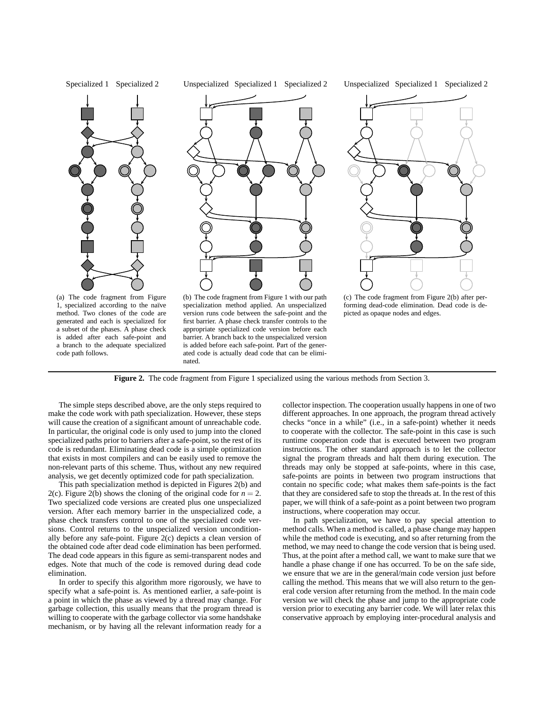

**Figure 2.** The code fragment from Figure 1 specialized using the various methods from Section 3.

ated code is actually dead code that can be elimi-

The simple steps described above, are the only steps required to make the code work with path specialization. However, these steps will cause the creation of a significant amount of unreachable code. In particular, the original code is only used to jump into the cloned specialized paths prior to barriers after a safe-point, so the rest of its code is redundant. Eliminating dead code is a simple optimization that exists in most compilers and can be easily used to remove the non-relevant parts of this scheme. Thus, without any new required analysis, we get decently optimized code for path specialization.

nated.

code path follows.

This path specialization method is depicted in Figures 2(b) and 2(c). Figure 2(b) shows the cloning of the original code for  $n = 2$ . Two specialized code versions are created plus one unspecialized version. After each memory barrier in the unspecialized code, a phase check transfers control to one of the specialized code versions. Control returns to the unspecialized version unconditionally before any safe-point. Figure 2(c) depicts a clean version of the obtained code after dead code elimination has been performed. The dead code appears in this figure as semi-transparent nodes and edges. Note that much of the code is removed during dead code elimination.

In order to specify this algorithm more rigorously, we have to specify what a safe-point is. As mentioned earlier, a safe-point is a point in which the phase as viewed by a thread may change. For garbage collection, this usually means that the program thread is willing to cooperate with the garbage collector via some handshake mechanism, or by having all the relevant information ready for a collector inspection. The cooperation usually happens in one of two different approaches. In one approach, the program thread actively checks "once in a while" (i.e., in a safe-point) whether it needs to cooperate with the collector. The safe-point in this case is such runtime cooperation code that is executed between two program instructions. The other standard approach is to let the collector signal the program threads and halt them during execution. The threads may only be stopped at safe-points, where in this case, safe-points are points in between two program instructions that contain no specific code; what makes them safe-points is the fact that they are considered safe to stop the threads at. In the rest of this paper, we will think of a safe-point as a point between two program instructions, where cooperation may occur.

In path specialization, we have to pay special attention to method calls. When a method is called, a phase change may happen while the method code is executing, and so after returning from the method, we may need to change the code version that is being used. Thus, at the point after a method call, we want to make sure that we handle a phase change if one has occurred. To be on the safe side, we ensure that we are in the general/main code version just before calling the method. This means that we will also return to the general code version after returning from the method. In the main code version we will check the phase and jump to the appropriate code version prior to executing any barrier code. We will later relax this conservative approach by employing inter-procedural analysis and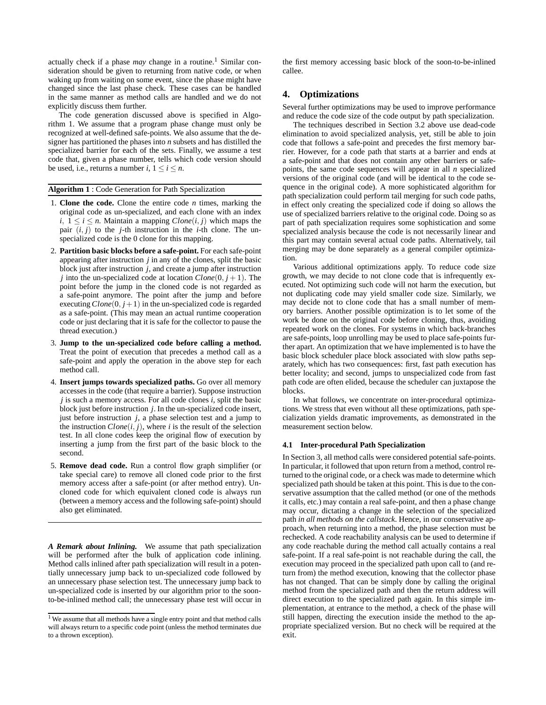actually check if a phase *may* change in a routine.<sup>1</sup> Similar consideration should be given to returning from native code, or when waking up from waiting on some event, since the phase might have changed since the last phase check. These cases can be handled in the same manner as method calls are handled and we do not explicitly discuss them further.

The code generation discussed above is specified in Algorithm 1. We assume that a program phase change must only be recognized at well-defined safe-points. We also assume that the designer has partitioned the phases into *n* subsets and has distilled the specialized barrier for each of the sets. Finally, we assume a test code that, given a phase number, tells which code version should be used, i.e., returns a number  $i, 1 \le i \le n$ .

#### **Algorithm 1** : Code Generation for Path Specialization

- 1. **Clone the code.** Clone the entire code *n* times, marking the original code as un-specialized, and each clone with an index *i*,  $1 ≤ i ≤ n$ . Maintain a mapping  $Clone(i, j)$  which maps the pair  $(i, j)$  to the *j*-th instruction in the *i*-th clone. The unspecialized code is the 0 clone for this mapping.
- 2. **Partition basic blocks before a safe-point.** For each safe-point appearing after instruction *j* in any of the clones, split the basic block just after instruction *j*, and create a jump after instruction *j* into the un-specialized code at location  $C$ lone $(0, j + 1)$ . The point before the jump in the cloned code is not regarded as a safe-point anymore. The point after the jump and before executing  $C$ lone $(0, j+1)$  in the un-specialized code is regarded as a safe-point. (This may mean an actual runtime cooperation code or just declaring that it is safe for the collector to pause the thread execution.)
- 3. **Jump to the un-specialized code before calling a method.** Treat the point of execution that precedes a method call as a safe-point and apply the operation in the above step for each method call.
- 4. **Insert jumps towards specialized paths.** Go over all memory accesses in the code (that require a barrier). Suppose instruction *j* is such a memory access. For all code clones *i*, split the basic block just before instruction *j*. In the un-specialized code insert, just before instruction *j*, a phase selection test and a jump to the instruction  $C$ *lone* $(i, j)$ , where *i* is the result of the selection test. In all clone codes keep the original flow of execution by inserting a jump from the first part of the basic block to the second.
- 5. **Remove dead code.** Run a control flow graph simplifier (or take special care) to remove all cloned code prior to the first memory access after a safe-point (or after method entry). Uncloned code for which equivalent cloned code is always run (between a memory access and the following safe-point) should also get eliminated.

*A Remark about Inlining.* We assume that path specialization will be performed after the bulk of application code inlining. Method calls inlined after path specialization will result in a potentially unnecessary jump back to un-specialized code followed by an unnecessary phase selection test. The unnecessary jump back to un-specialized code is inserted by our algorithm prior to the soonto-be-inlined method call; the unnecessary phase test will occur in the first memory accessing basic block of the soon-to-be-inlined callee.

### **4. Optimizations**

Several further optimizations may be used to improve performance and reduce the code size of the code output by path specialization.

The techniques described in Section 3.2 above use dead-code elimination to avoid specialized analysis, yet, still be able to join code that follows a safe-point and precedes the first memory barrier. However, for a code path that starts at a barrier and ends at a safe-point and that does not contain any other barriers or safepoints, the same code sequences will appear in all *n* specialized versions of the original code (and will be identical to the code sequence in the original code). A more sophisticated algorithm for path specialization could perform tail merging for such code paths, in effect only creating the specialized code if doing so allows the use of specialized barriers relative to the original code. Doing so as part of path specialization requires some sophistication and some specialized analysis because the code is not necessarily linear and this part may contain several actual code paths. Alternatively, tail merging may be done separately as a general compiler optimization.

Various additional optimizations apply. To reduce code size growth, we may decide to not clone code that is infrequently executed. Not optimizing such code will not harm the execution, but not duplicating code may yield smaller code size. Similarly, we may decide not to clone code that has a small number of memory barriers. Another possible optimization is to let some of the work be done on the original code before cloning, thus, avoiding repeated work on the clones. For systems in which back-branches are safe-points, loop unrolling may be used to place safe-points further apart. An optimization that we have implemented is to have the basic block scheduler place block associated with slow paths separately, which has two consequences: first, fast path execution has better locality; and second, jumps to unspecialized code from fast path code are often elided, because the scheduler can juxtapose the blocks.

In what follows, we concentrate on inter-procedural optimizations. We stress that even without all these optimizations, path specialization yields dramatic improvements, as demonstrated in the measurement section below.

### **4.1 Inter-procedural Path Specialization**

In Section 3, all method calls were considered potential safe-points. In particular, it followed that upon return from a method, control returned to the original code, or a check was made to determine which specialized path should be taken at this point. This is due to the conservative assumption that the called method (or one of the methods it calls, etc.) may contain a real safe-point, and then a phase change may occur, dictating a change in the selection of the specialized path *in all methods on the callstack*. Hence, in our conservative approach, when returning into a method, the phase selection must be rechecked. A code reachability analysis can be used to determine if any code reachable during the method call actually contains a real safe-point. If a real safe-point is not reachable during the call, the execution may proceed in the specialized path upon call to (and return from) the method execution, knowing that the collector phase has not changed. That can be simply done by calling the original method from the specialized path and then the return address will direct execution to the specialized path again. In this simple implementation, at entrance to the method, a check of the phase will still happen, directing the execution inside the method to the appropriate specialized version. But no check will be required at the exit.

<sup>&</sup>lt;sup>1</sup> We assume that all methods have a single entry point and that method calls will always return to a specific code point (unless the method terminates due to a thrown exception).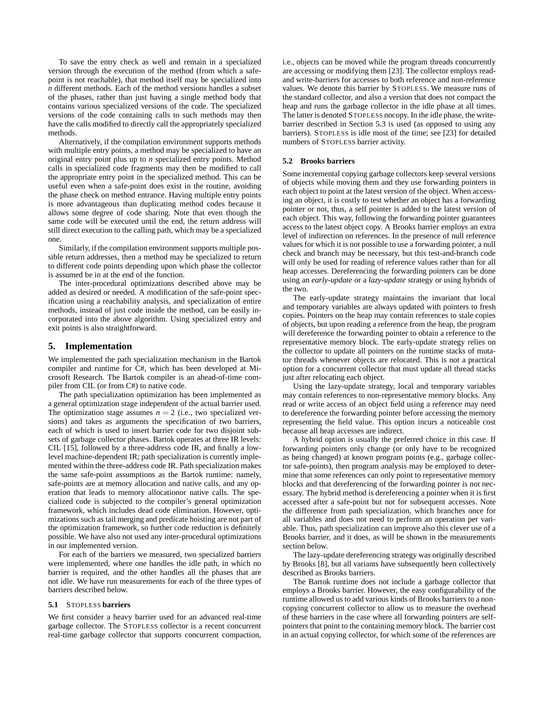To save the entry check as well and remain in a specialized version through the execution of the method (from which a safepoint is not reachable), that method itself may be specialized into *n* different methods. Each of the method versions handles a subset of the phases, rather than just having a single method body that contains various specialized versions of the code. The specialized versions of the code containing calls to such methods may then have the calls modified to directly call the appropriately specialized methods.

Alternatively, if the compilation environment supports methods with multiple entry points, a method may be specialized to have an original entry point plus up to *n* specialized entry points. Method calls in specialized code fragments may then be modified to call the appropriate entry point in the specialized method. This can be useful even when a safe-point does exist in the routine, avoiding the phase check on method entrance. Having multiple entry points is more advantageous than duplicating method codes because it allows some degree of code sharing. Note that even though the same code will be executed until the end, the return address will still direct execution to the calling path, which may be a specialized one.

Similarly, if the compilation environment supports multiple possible return addresses, then a method may be specialized to return to different code points depending upon which phase the collector is assumed be in at the end of the function.

The inter-procedural optimizations described above may be added as desired or needed. A modification of the safe-point specification using a reachability analysis, and specialization of entire methods, instead of just code inside the method, can be easily incorporated into the above algorithm. Using specialized entry and exit points is also straightforward.

# **5. Implementation**

We implemented the path specialization mechanism in the Bartok compiler and runtime for C#, which has been developed at Microsoft Research. The Bartok compiler is an ahead-of-time compiler from CIL (or from C#) to native code.

The path specialization optimization has been implemented as a general optimization stage independent of the actual barrier used. The optimization stage assumes  $n = 2$  (i.e., two specialized versions) and takes as arguments the specification of two barriers, each of which is used to insert barrier code for two disjoint subsets of garbage collector phases. Bartok operates at three IR levels: CIL [15], followed by a three-address code IR, and finally a lowlevel machine-dependent IR; path specialization is currently implemented within the three-address code IR. Path specialization makes the same safe-point assumptions as the Bartok runtime: namely, safe-points are at memory allocation and native calls, and any operation that leads to memory allocationor native calls. The specialized code is subjected to the compiler's general optimization framework, which includes dead code elimination. However, optimizations such as tail merging and predicate hoisting are not part of the optimization framework, so further code reduction is definitely possible. We have also not used any inter-procedural optimizations in our implemented version.

For each of the barriers we measured, two specialized barriers were implemented, where one handles the idle path, in which no barrier is required, and the other handles all the phases that are not idle. We have run measurements for each of the three types of barriers described below.

### **5.1** STOPLESS **barriers**

We first consider a heavy barrier used for an advanced real-time garbage collector. The STOPLESS collector is a recent concurrent real-time garbage collector that supports concurrent compaction,

i.e., objects can be moved while the program threads concurrently are accessing or modifying them [23]. The collector employs readand write-barriers for accesses to both reference and non-reference values. We denote this barrier by STOPLESS. We measure runs of the standard collector, and also a version that does not compact the heap and runs the garbage collector in the idle phase at all times. The latter is denoted STOPLESS nocopy. In the idle phase, the writebarrier described in Section 5.3 is used (as opposed to using any barriers). STOPLESS is idle most of the time; see [23] for detailed numbers of STOPLESS barrier activity.

#### **5.2 Brooks barriers**

Some incremental copying garbage collectors keep several versions of objects while moving them and they use forwarding pointers in each object to point at the latest version of the object. When accessing an object, it is costly to test whether an object has a forwarding pointer or not, thus, a self pointer is added to the latest version of each object. This way, following the forwarding pointer guarantees access to the latest object copy. A Brooks barrier employs an extra level of indirection on references. In the presence of null reference values for which it is not possible to use a forwarding pointer, a null check and branch may be necessary, but this test-and-branch code will only be used for reading of reference values rather than for all heap accesses. Dereferencing the forwarding pointers can be done using an *early-update* or a *lazy-update* strategy or using hybrids of the two.

The early-update strategy maintains the invariant that local and temporary variables are always updated with pointers to fresh copies. Pointers on the heap may contain references to stale copies of objects, but upon reading a reference from the heap, the program will dereference the forwarding pointer to obtain a reference to the representative memory block. The early-update strategy relies on the collector to update all pointers on the runtime stacks of mutator threads whenever objects are relocated. This is not a practical option for a concurrent collector that must update all thread stacks just after relocating each object.

Using the lazy-update strategy, local and temporary variables may contain references to non-representative memory blocks. Any read or write access of an object field using a reference may need to dereference the forwarding pointer before accessing the memory representing the field value. This option incurs a noticeable cost because all heap accesses are indirect.

A hybrid option is usually the preferred choice in this case. If forwarding pointers only change (or only have to be recognized as being changed) at known program points (e.g., garbage collector safe-points), then program analysis may be employed to determine that some references can only point to representative memory blocks and that dereferencing of the forwarding pointer is not necessary. The hybrid method is dereferencing a pointer when it is first accessed after a safe-point but not for subsequent accesses. Note the difference from path specialization, which branches once for all variables and does not need to perform an operation per variable. Thus, path specialization can improve also this clever use of a Brooks barrier, and it does, as will be shown in the measurements section below.

The lazy-update dereferencing strategy was originally described by Brooks [8], but all variants have subsequently been collectively described as Brooks barriers.

The Bartok runtime does not include a garbage collector that employs a Brooks barrier. However, the easy configurability of the runtime allowed us to add various kinds of Brooks barriers to a noncopying concurrent collector to allow us to measure the overhead of these barriers in the case where all forwarding pointers are selfpointers that point to the containing memory block. The barrier cost in an actual copying collector, for which some of the references are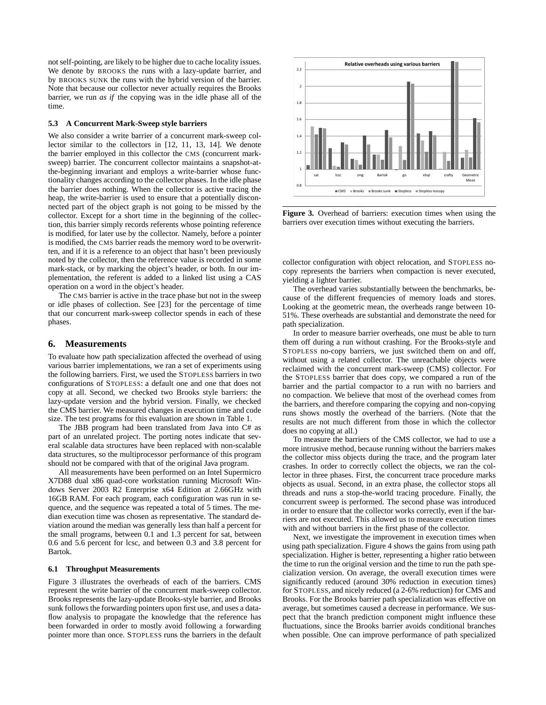not self-pointing, are likely to be higher due to cache locality issues. We denote by BROOKS the runs with a lazy-update barrier, and by BROOKS SUNK the runs with the hybrid version of the barrier. Note that because our collector never actually requires the Brooks barrier, we run *as if* the copying was in the idle phase all of the time.

#### **5.3 A Concurrent Mark-Sweep style barriers**

We also consider a write barrier of a concurrent mark-sweep collector similar to the collectors in [12, 11, 13, 14]. We denote the barrier employed in this collector the CMS (concurrent marksweep) barrier. The concurrent collector maintains a snapshot-atthe-beginning invariant and employs a write-barrier whose functionality changes according to the collector phases. In the idle phase the barrier does nothing. When the collector is active tracing the heap, the write-barrier is used to ensure that a potentially disconnected part of the object graph is not going to be missed by the collector. Except for a short time in the beginning of the collection, this barrier simply records referents whose pointing reference is modified, for later use by the collector. Namely, before a pointer is modified, the CMS barrier reads the memory word to be overwritten, and if it is a reference to an object that hasn't been previously noted by the collector, then the reference value is recorded in some mark-stack, or by marking the object's header, or both. In our implementation, the referent is added to a linked list using a CAS operation on a word in the object's header.

The CMS barrier is active in the trace phase but not in the sweep or idle phases of collection. See [23] for the percentage of time that our concurrent mark-sweep collector spends in each of these phases.

## **6. Measurements**

To evaluate how path specialization affected the overhead of using various barrier implementations, we ran a set of experiments using the following barriers. First, we used the STOPLESS barriers in two configurations of STOPLESS: a default one and one that does not copy at all. Second, we checked two Brooks style barriers: the lazy-update version and the hybrid version. Finally, we checked the CMS barrier. We measured changes in execution time and code size. The test programs for this evaluation are shown in Table 1.

The JBB program had been translated from Java into C# as part of an unrelated project. The porting notes indicate that several scalable data structures have been replaced with non-scalable data structures, so the multiprocessor performance of this program should not be compared with that of the original Java program.

All measurements have been performed on an Intel Supermicro X7D88 dual x86 quad-core workstation running Microsoft Windows Server 2003 R2 Enterprise x64 Edition at 2.66GHz with 16GB RAM. For each program, each configuration was run in sequence, and the sequence was repeated a total of 5 times. The median execution time was chosen as representative. The standard deviation around the median was generally less than half a percent for the small programs, between 0.1 and 1.3 percent for sat, between 0.6 and 5.6 percent for lcsc, and between 0.3 and 3.8 percent for Bartok.

### **6.1 Throughput Measurements**

Figure 3 illustrates the overheads of each of the barriers. CMS represent the write barrier of the concurrent mark-sweep collector. Brooks represents the lazy-update Brooks-style barrier, and Brooks sunk follows the forwarding pointers upon first use, and uses a dataflow analysis to propagate the knowledge that the reference has been forwarded in order to mostly avoid following a forwarding pointer more than once. STOPLESS runs the barriers in the default



**Figure 3.** Overhead of barriers: execution times when using the barriers over execution times without executing the barriers.

collector configuration with object relocation, and STOPLESS nocopy represents the barriers when compaction is never executed, yielding a lighter barrier.

The overhead varies substantially between the benchmarks, because of the different frequencies of memory loads and stores. Looking at the geometric mean, the overheads range between 10- 51%. These overheads are substantial and demonstrate the need for path specialization.

In order to measure barrier overheads, one must be able to turn them off during a run without crashing. For the Brooks-style and STOPLESS no-copy barriers, we just switched them on and off, without using a related collector. The unreachable objects were reclaimed with the concurrent mark-sweep (CMS) collector. For the STOPLESS barrier that does copy, we compared a run of the barrier and the partial compactor to a run with no barriers and no compaction. We believe that most of the overhead comes from the barriers, and therefore comparing the copying and non-copying runs shows mostly the overhead of the barriers. (Note that the results are not much different from those in which the collector does no copying at all.)

To measure the barriers of the CMS collector, we had to use a more intrusive method, because running without the barriers makes the collector miss objects during the trace, and the program later crashes. In order to correctly collect the objects, we ran the collector in three phases. First, the concurrent trace procedure marks objects as usual. Second, in an extra phase, the collector stops all threads and runs a stop-the-world tracing procedure. Finally, the concurrent sweep is performed. The second phase was introduced in order to ensure that the collector works correctly, even if the barriers are not executed. This allowed us to measure execution times with and without barriers in the first phase of the collector.

Next, we investigate the improvement in execution times when using path specialization. Figure 4 shows the gains from using path specialization. Higher is better, representing a higher ratio between the time to run the original version and the time to run the path specialization version. On average, the overall execution times were significantly reduced (around 30% reduction in execution times) for STOPLESS, and nicely reduced (a 2-6% reduction) for CMS and Brooks. For the Brooks barrier path specialization was effective on average, but sometimes caused a decrease in performance. We suspect that the branch prediction component might influence these fluctuations, since the Brooks barrier avoids conditional branches when possible. One can improve performance of path specialized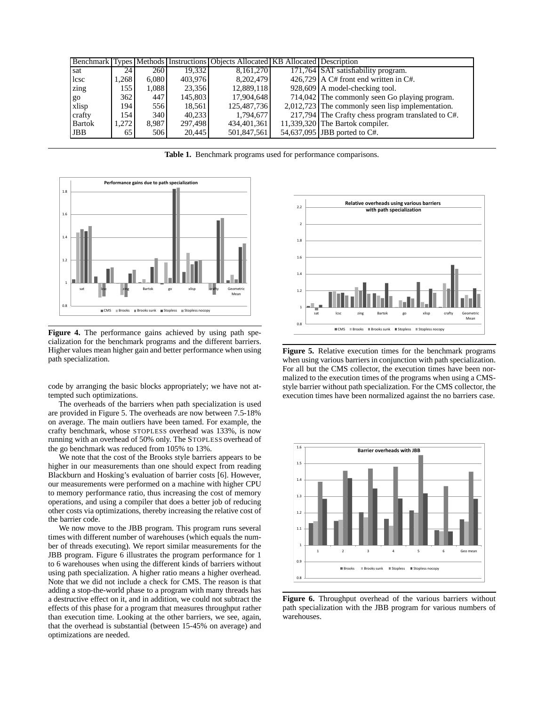|               |       |                  |         | Benchmark Types Methods Instructions Objects Allocated KB Allocated Description |                                                    |
|---------------|-------|------------------|---------|---------------------------------------------------------------------------------|----------------------------------------------------|
| sat           | 24    | 260              | 19.332  | 8,161,270                                                                       | 171,764 SAT satisfiability program.                |
| lcsc          | .268  | 6.080            | 403,976 | 8,202,479                                                                       | $426.729$ A C# front end written in C#.            |
| zing          | 155   | 1,088            | 23,356  | 12,889,118                                                                      | 928,609 A model-checking tool.                     |
| go            | 362   | 447              | 145,803 | 17,904,648                                                                      | 714,042 The commonly seen Go playing program.      |
| xlisp         | 194   | 556              | 18.561  | 125,487,736                                                                     | 2,012,723 The commonly seen lisp implementation.   |
| crafty        | 154   | 340 <sup>1</sup> | 40.233  | 1,794,677                                                                       | 217,794 The Crafty chess program translated to C#. |
| <b>Bartok</b> | 1,272 | 8,987            | 297.498 | 434,401,361                                                                     | 11,339,320 The Bartok compiler.                    |
| <b>JBB</b>    | 65    | 506              | 20.445  | 501,847,561                                                                     | 54,637,095 JBB ported to C#.                       |

**Table 1.** Benchmark programs used for performance comparisons.



**Figure 4.** The performance gains achieved by using path specialization for the benchmark programs and the different barriers. Higher values mean higher gain and better performance when using path specialization.

code by arranging the basic blocks appropriately; we have not attempted such optimizations.

The overheads of the barriers when path specialization is used are provided in Figure 5. The overheads are now between 7.5-18% on average. The main outliers have been tamed. For example, the crafty benchmark, whose STOPLESS overhead was 133%, is now running with an overhead of 50% only. The STOPLESS overhead of the go benchmark was reduced from 105% to 13%.

We note that the cost of the Brooks style barriers appears to be higher in our measurements than one should expect from reading Blackburn and Hosking's evaluation of barrier costs [6]. However, our measurements were performed on a machine with higher CPU to memory performance ratio, thus increasing the cost of memory operations, and using a compiler that does a better job of reducing other costs via optimizations, thereby increasing the relative cost of the barrier code.

We now move to the JBB program. This program runs several times with different number of warehouses (which equals the number of threads executing). We report similar measurements for the JBB program. Figure 6 illustrates the program performance for 1 to 6 warehouses when using the different kinds of barriers without using path specialization. A higher ratio means a higher overhead. Note that we did not include a check for CMS. The reason is that adding a stop-the-world phase to a program with many threads has a destructive effect on it, and in addition, we could not subtract the effects of this phase for a program that measures throughput rather than execution time. Looking at the other barriers, we see, again, that the overhead is substantial (between 15-45% on average) and optimizations are needed.



**Figure 5.** Relative execution times for the benchmark programs when using various barriers in conjunction with path specialization. For all but the CMS collector, the execution times have been normalized to the execution times of the programs when using a CMSstyle barrier without path specialization. For the CMS collector, the execution times have been normalized against the no barriers case.



**Figure 6.** Throughput overhead of the various barriers without path specialization with the JBB program for various numbers of warehouses.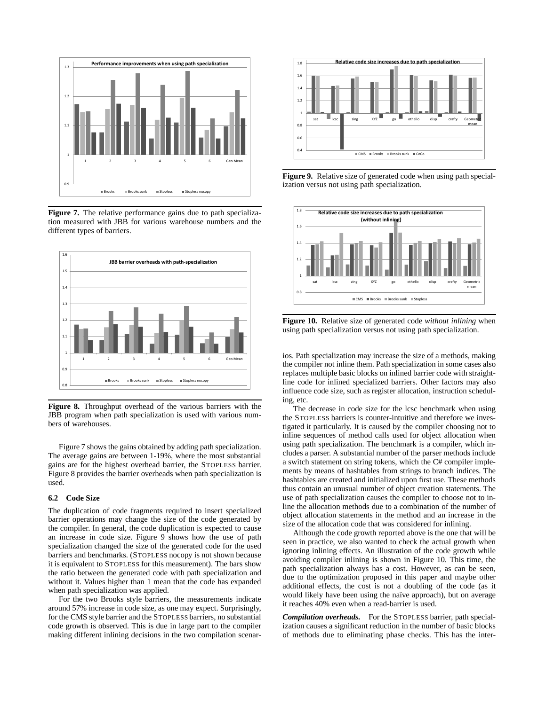

**Figure 7.** The relative performance gains due to path specialization measured with JBB for various warehouse numbers and the different types of barriers.



**Figure 8.** Throughput overhead of the various barriers with the JBB program when path specialization is used with various numbers of warehouses.

Figure 7 shows the gains obtained by adding path specialization. The average gains are between 1-19%, where the most substantial gains are for the highest overhead barrier, the STOPLESS barrier. Figure 8 provides the barrier overheads when path specialization is used.

#### **6.2 Code Size**

The duplication of code fragments required to insert specialized barrier operations may change the size of the code generated by the compiler. In general, the code duplication is expected to cause an increase in code size. Figure 9 shows how the use of path specialization changed the size of the generated code for the used barriers and benchmarks. (STOPLESS nocopy is not shown because it is equivalent to STOPLESS for this measurement). The bars show the ratio between the generated code with path specialization and without it. Values higher than 1 mean that the code has expanded when path specialization was applied.

For the two Brooks style barriers, the measurements indicate around 57% increase in code size, as one may expect. Surprisingly, for the CMS style barrier and the STOPLESS barriers, no substantial code growth is observed. This is due in large part to the compiler making different inlining decisions in the two compilation scenar-



**Figure 9.** Relative size of generated code when using path specialization versus not using path specialization.



**Figure 10.** Relative size of generated code *without inlining* when using path specialization versus not using path specialization.

ios. Path specialization may increase the size of a methods, making the compiler not inline them. Path specialization in some cases also replaces multiple basic blocks on inlined barrier code with straightline code for inlined specialized barriers. Other factors may also influence code size, such as register allocation, instruction scheduling, etc.

The decrease in code size for the lcsc benchmark when using the STOPLESS barriers is counter-intuitive and therefore we investigated it particularly. It is caused by the compiler choosing not to inline sequences of method calls used for object allocation when using path specialization. The benchmark is a compiler, which includes a parser. A substantial number of the parser methods include a switch statement on string tokens, which the C# compiler implements by means of hashtables from strings to branch indices. The hashtables are created and initialized upon first use. These methods thus contain an unusual number of object creation statements. The use of path specialization causes the compiler to choose not to inline the allocation methods due to a combination of the number of object allocation statements in the method and an increase in the size of the allocation code that was considered for inlining.

Although the code growth reported above is the one that will be seen in practice, we also wanted to check the actual growth when ignoring inlining effects. An illustration of the code growth while avoiding compiler inlining is shown in Figure 10. This time, the path specialization always has a cost. However, as can be seen, due to the optimization proposed in this paper and maybe other additional effects, the cost is not a doubling of the code (as it would likely have been using the naïve approach), but on average it reaches 40% even when a read-barrier is used.

*Compilation overheads.* For the STOPLESS barrier, path specialization causes a significant reduction in the number of basic blocks of methods due to eliminating phase checks. This has the inter